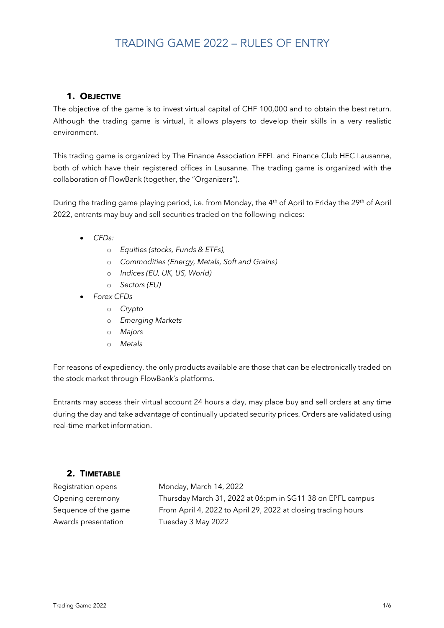### **1. OBJECTIVE**

The objective of the game is to invest virtual capital of CHF 100,000 and to obtain the best return. Although the trading game is virtual, it allows players to develop their skills in a very realistic environment.

This trading game is organized by The Finance Association EPFL and Finance Club HEC Lausanne, both of which have their registered offices in Lausanne. The trading game is organized with the collaboration of FlowBank (together, the "Organizers").

During the trading game playing period, i.e. from Monday, the 4<sup>th</sup> of April to Friday the 29<sup>th</sup> of April 2022, entrants may buy and sell securities traded on the following indices:

- *CFDs:*
	- o *Equities (stocks, Funds & ETFs),*
	- o *Commodities (Energy, Metals, Soft and Grains)*
	- o *Indices (EU, UK, US, World)*
	- o *Sectors (EU)*
- *Forex CFDs*
	- o *Crypto*
	- o *Emerging Markets*
	- o *Majors*
	- o *Metals*

For reasons of expediency, the only products available are those that can be electronically traded on the stock market through FlowBank's platforms.

Entrants may access their virtual account 24 hours a day, may place buy and sell orders at any time during the day and take advantage of continually updated security prices. Orders are validated using real-time market information.

## **2. TIMETABLE**

Awards presentation Tuesday 3 May 2022

Registration opens Monday, March 14, 2022 Opening ceremony Thursday March 31, 2022 at 06:pm in SG11 38 on EPFL campus Sequence of the game From April 4, 2022 to April 29, 2022 at closing trading hours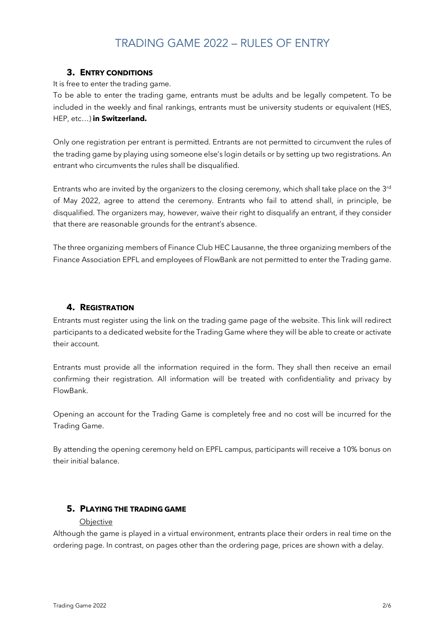### **3. ENTRY CONDITIONS**

It is free to enter the trading game.

To be able to enter the trading game, entrants must be adults and be legally competent. To be included in the weekly and final rankings, entrants must be university students or equivalent (HES, HEP, etc…) **in Switzerland.**

Only one registration per entrant is permitted. Entrants are not permitted to circumvent the rules of the trading game by playing using someone else's login details or by setting up two registrations. An entrant who circumvents the rules shall be disqualified.

Entrants who are invited by the organizers to the closing ceremony, which shall take place on the  $3^{rd}$ of May 2022, agree to attend the ceremony. Entrants who fail to attend shall, in principle, be disqualified. The organizers may, however, waive their right to disqualify an entrant, if they consider that there are reasonable grounds for the entrant's absence.

The three organizing members of Finance Club HEC Lausanne, the three organizing members of the Finance Association EPFL and employees of FlowBank are not permitted to enter the Trading game.

### **4. REGISTRATION**

Entrants must register using the link on the trading game page of the website. This link will redirect participants to a dedicated website for the Trading Game where they will be able to create or activate their account.

Entrants must provide all the information required in the form. They shall then receive an email confirming their registration. All information will be treated with confidentiality and privacy by FlowBank.

Opening an account for the Trading Game is completely free and no cost will be incurred for the Trading Game.

By attending the opening ceremony held on EPFL campus, participants will receive a 10% bonus on their initial balance.

### **5. PLAYING THE TRADING GAME**

#### **Objective**

Although the game is played in a virtual environment, entrants place their orders in real time on the ordering page. In contrast, on pages other than the ordering page, prices are shown with a delay.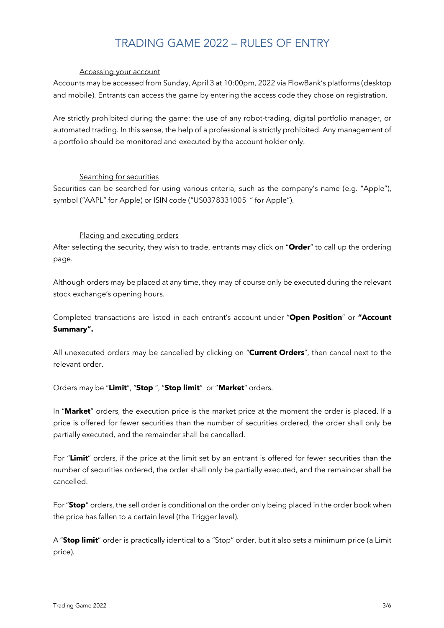#### Accessing your account

Accounts may be accessed from Sunday, April 3 at 10:00pm, 2022 via FlowBank's platforms (desktop and mobile). Entrants can access the game by entering the access code they chose on registration.

Are strictly prohibited during the game: the use of any robot-trading, digital portfolio manager, or automated trading. In this sense, the help of a professional is strictly prohibited. Any management of a portfolio should be monitored and executed by the account holder only.

#### Searching for securities

Securities can be searched for using various criteria, such as the company's name (e.g. "Apple"), symbol ("AAPL" for Apple) or ISIN code ("US0378331005 " for Apple").

### Placing and executing orders

After selecting the security, they wish to trade, entrants may click on "**Order**" to call up the ordering page.

Although orders may be placed at any time, they may of course only be executed during the relevant stock exchange's opening hours.

Completed transactions are listed in each entrant's account under "**Open Position**" or **"Account Summary".**

All unexecuted orders may be cancelled by clicking on "**Current Orders**", then cancel next to the relevant order.

Orders may be "**Limit**", "**Stop** ", "**Stop limit**" or "**Market**" orders.

In "**Market**" orders, the execution price is the market price at the moment the order is placed. If a price is offered for fewer securities than the number of securities ordered, the order shall only be partially executed, and the remainder shall be cancelled.

For "**Limit**" orders, if the price at the limit set by an entrant is offered for fewer securities than the number of securities ordered, the order shall only be partially executed, and the remainder shall be cancelled.

For"**Stop**" orders, the sell order is conditional on the order only being placed in the order book when the price has fallen to a certain level (the Trigger level).

A "**Stop limit**" order is practically identical to a "Stop" order, but it also sets a minimum price (a Limit price).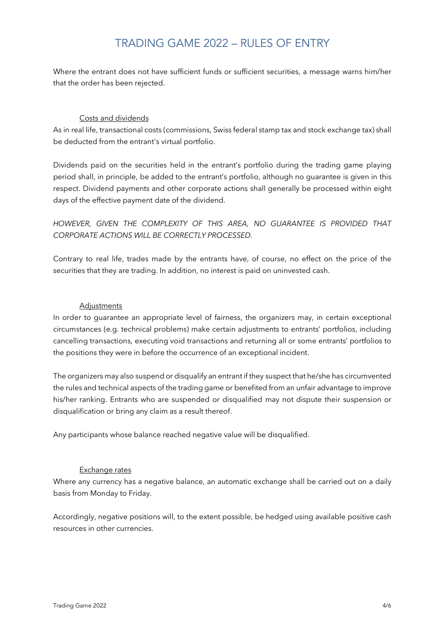Where the entrant does not have sufficient funds or sufficient securities, a message warns him/her that the order has been rejected.

#### Costs and dividends

As in real life, transactional costs (commissions, Swiss federal stamp tax and stock exchange tax) shall be deducted from the entrant's virtual portfolio.

Dividends paid on the securities held in the entrant's portfolio during the trading game playing period shall, in principle, be added to the entrant's portfolio, although no guarantee is given in this respect. Dividend payments and other corporate actions shall generally be processed within eight days of the effective payment date of the dividend.

*HOWEVER, GIVEN THE COMPLEXITY OF THIS AREA, NO GUARANTEE IS PROVIDED THAT CORPORATE ACTIONS WILL BE CORRECTLY PROCESSED.*

Contrary to real life, trades made by the entrants have, of course, no effect on the price of the securities that they are trading. In addition, no interest is paid on uninvested cash.

#### **Adjustments**

In order to guarantee an appropriate level of fairness, the organizers may, in certain exceptional circumstances (e.g. technical problems) make certain adjustments to entrants' portfolios, including cancelling transactions, executing void transactions and returning all or some entrants' portfolios to the positions they were in before the occurrence of an exceptional incident.

The organizers may also suspend or disqualify an entrant if they suspect that he/she has circumvented the rules and technical aspects of the trading game or benefited from an unfair advantage to improve his/her ranking. Entrants who are suspended or disqualified may not dispute their suspension or disqualification or bring any claim as a result thereof.

Any participants whose balance reached negative value will be disqualified.

#### Exchange rates

Where any currency has a negative balance, an automatic exchange shall be carried out on a daily basis from Monday to Friday.

Accordingly, negative positions will, to the extent possible, be hedged using available positive cash resources in other currencies.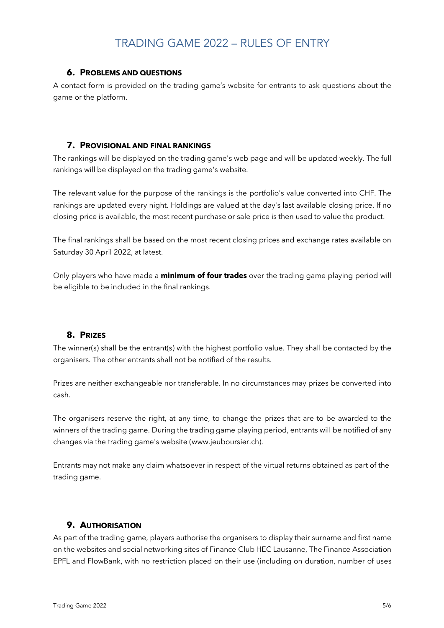#### **6. PROBLEMS AND QUESTIONS**

A contact form is provided on the trading game's website for entrants to ask questions about the game or the platform.

#### **7. PROVISIONAL AND FINAL RANKINGS**

The rankings will be displayed on the trading game's web page and will be updated weekly. The full rankings will be displayed on the trading game's website.

The relevant value for the purpose of the rankings is the portfolio's value converted into CHF. The rankings are updated every night. Holdings are valued at the day's last available closing price. If no closing price is available, the most recent purchase or sale price is then used to value the product.

The final rankings shall be based on the most recent closing prices and exchange rates available on Saturday 30 April 2022, at latest.

Only players who have made a **minimum of four trades** over the trading game playing period will be eligible to be included in the final rankings.

## **8. PRIZES**

The winner(s) shall be the entrant(s) with the highest portfolio value. They shall be contacted by the organisers. The other entrants shall not be notified of the results.

Prizes are neither exchangeable nor transferable. In no circumstances may prizes be converted into cash.

The organisers reserve the right, at any time, to change the prizes that are to be awarded to the winners of the trading game. During the trading game playing period, entrants will be notified of any changes via the trading game's website (www.jeuboursier.ch).

Entrants may not make any claim whatsoever in respect of the virtual returns obtained as part of the trading game.

## **9. AUTHORISATION**

As part of the trading game, players authorise the organisers to display their surname and first name on the websites and social networking sites of Finance Club HEC Lausanne, The Finance Association EPFL and FlowBank, with no restriction placed on their use (including on duration, number of uses